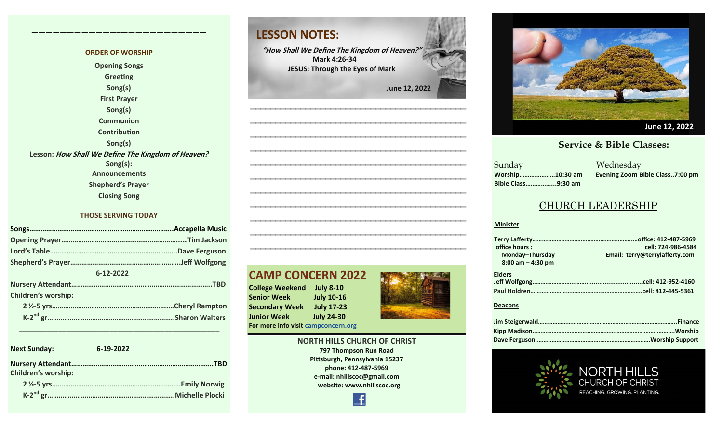#### **ORDER OF WORSHIP Opening Songs Greeting Song(s) First Prayer Song(s) Communion Contribution Song(s) Lesson: How Shall We Define The Kingdom of Heaven? Song(s): Announcements Shepherd's Prayer Closing Song**

**————————————–————————————**

#### **THOSE SERVING TODAY**

| 6-12-2022                  |  |
|----------------------------|--|
|                            |  |
| <b>Children's worship:</b> |  |
|                            |  |
|                            |  |
|                            |  |

**Next Sunday: 6-19-2022 Nursery Attendant………………………………………………………………….TBD Children's worship: 2 ½-5 yrs……………………………………………………………Emily Norwig K-2 nd gr…………………………………………………………..Michelle Plocki**

 **\_\_\_\_\_\_\_\_\_\_\_\_\_\_\_\_\_\_\_\_\_\_\_\_\_\_\_\_\_\_\_\_\_\_\_\_\_\_\_\_\_\_\_\_\_\_\_\_\_\_\_**



**"How Shall We Define The Kingdom of Heaven?" Mark 4:26-34 JESUS: Through the Eyes of Mark** 

 **June 12, 2022**

**——————————————————————————————————————————— ——————————————————————————————————————————— ——————————————————————————————————————————— ——————————————————————————————————————————— ——————————————————————————————————————————— ——————————————————————————————————————————— ——————————————————————————————————————————— ———————————————————————————————————————————**

#### **CAMP CONCERN 2022**

**College Weekend July 8-10 Senior Week July 10-16 Secondary Week July 17-23 Junior Week July 24-30 For more info visit [campconcern.org](http://campconcern.org)**



**NORTH HILLS CHURCH OF CHRIST 797 Thompson Run Road Pittsburgh, Pennsylvania 15237 phone: 412-487-5969**

**——————————————————————————————————————————— ——————————————————————————————————————————— ———————————————————————————————————————————**

> **e-mail: nhillscoc@gmail.com website: www.nhillscoc.org**





#### ible Classes: **Service & Bible Classes: Fervice & Bible Classes:**

Sunday Wednesday **Bible Class……………...9:30 am**

**Worship…………………10:30 am Evening Zoom Bible Class..7:00 pm**

#### CHURCH LEADERSHIP

#### **Minister**

| office hours:        | cell: 724-986-4584             |
|----------------------|--------------------------------|
| Monday-Thursday      | Email: terry@terrylafferty.com |
| $8:00$ am $-4:30$ pm |                                |
| <b>Elders</b>        |                                |
|                      |                                |
|                      |                                |

#### **Deacons**